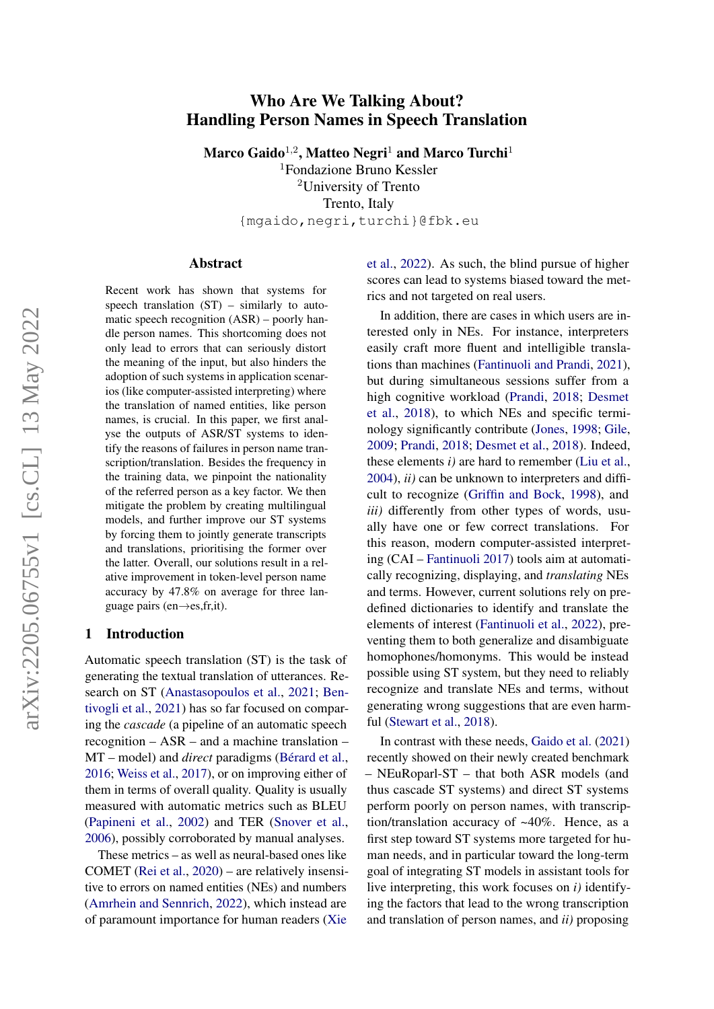# arXiv:2205.06755v1 [cs.CL] 13 May 2022 arXiv:2205.06755v1 [cs.CL] 13 May 2022

# Who Are We Talking About? Handling Person Names in Speech Translation

Marco Gaido $^{1,2}$ , Matteo Negri $^1$  and Marco Turchi $^1$ 

<sup>1</sup>Fondazione Bruno Kessler <sup>2</sup>University of Trento Trento, Italy {mgaido,negri,turchi}@fbk.eu

### Abstract

Recent work has shown that systems for speech translation  $(ST)$  – similarly to automatic speech recognition (ASR) – poorly handle person names. This shortcoming does not only lead to errors that can seriously distort the meaning of the input, but also hinders the adoption of such systems in application scenarios (like computer-assisted interpreting) where the translation of named entities, like person names, is crucial. In this paper, we first analyse the outputs of ASR/ST systems to identify the reasons of failures in person name transcription/translation. Besides the frequency in the training data, we pinpoint the nationality of the referred person as a key factor. We then mitigate the problem by creating multilingual models, and further improve our ST systems by forcing them to jointly generate transcripts and translations, prioritising the former over the latter. Overall, our solutions result in a relative improvement in token-level person name accuracy by 47.8% on average for three language pairs (en $\rightarrow$ es,fr,it).

### 1 Introduction

Automatic speech translation (ST) is the task of generating the textual translation of utterances. Research on ST [\(Anastasopoulos et al.,](#page-8-0) [2021;](#page-8-0) [Ben](#page-8-1)[tivogli et al.,](#page-8-1) [2021\)](#page-8-1) has so far focused on comparing the *cascade* (a pipeline of an automatic speech recognition – ASR – and a machine translation – MT – model) and *direct* paradigms [\(Bérard et al.,](#page-8-2) [2016;](#page-8-2) [Weiss et al.,](#page-10-0) [2017\)](#page-10-0), or on improving either of them in terms of overall quality. Quality is usually measured with automatic metrics such as BLEU [\(Papineni et al.,](#page-9-0) [2002\)](#page-9-0) and TER [\(Snover et al.,](#page-10-1) [2006\)](#page-10-1), possibly corroborated by manual analyses.

These metrics – as well as neural-based ones like COMET [\(Rei et al.,](#page-10-2) [2020\)](#page-10-2) – are relatively insensitive to errors on named entities (NEs) and numbers [\(Amrhein and Sennrich,](#page-8-3) [2022\)](#page-8-3), which instead are of paramount importance for human readers [\(Xie](#page-10-3) [et al.,](#page-10-3) [2022\)](#page-10-3). As such, the blind pursue of higher scores can lead to systems biased toward the metrics and not targeted on real users.

In addition, there are cases in which users are interested only in NEs. For instance, interpreters easily craft more fluent and intelligible translations than machines [\(Fantinuoli and Prandi,](#page-9-1) [2021\)](#page-9-1), but during simultaneous sessions suffer from a high cognitive workload [\(Prandi,](#page-9-2) [2018;](#page-9-2) [Desmet](#page-8-4) [et al.,](#page-8-4) [2018\)](#page-8-4), to which NEs and specific terminology significantly contribute [\(Jones,](#page-9-3) [1998;](#page-9-3) [Gile,](#page-9-4) [2009;](#page-9-4) [Prandi,](#page-9-2) [2018;](#page-9-2) [Desmet et al.,](#page-8-4) [2018\)](#page-8-4). Indeed, these elements *i)* are hard to remember [\(Liu et al.,](#page-9-5) [2004\)](#page-9-5), *ii)* can be unknown to interpreters and difficult to recognize [\(Griffin and Bock,](#page-9-6) [1998\)](#page-9-6), and *iii*) differently from other types of words, usually have one or few correct translations. For this reason, modern computer-assisted interpreting (CAI – [Fantinuoli](#page-9-7) [2017\)](#page-9-7) tools aim at automatically recognizing, displaying, and *translating* NEs and terms. However, current solutions rely on predefined dictionaries to identify and translate the elements of interest [\(Fantinuoli et al.,](#page-9-8) [2022\)](#page-9-8), preventing them to both generalize and disambiguate homophones/homonyms. This would be instead possible using ST system, but they need to reliably recognize and translate NEs and terms, without generating wrong suggestions that are even harmful [\(Stewart et al.,](#page-10-4) [2018\)](#page-10-4).

In contrast with these needs, [Gaido et al.](#page-9-9) [\(2021\)](#page-9-9) recently showed on their newly created benchmark – NEuRoparl-ST – that both ASR models (and thus cascade ST systems) and direct ST systems perform poorly on person names, with transcription/translation accuracy of ~40%. Hence, as a first step toward ST systems more targeted for human needs, and in particular toward the long-term goal of integrating ST models in assistant tools for live interpreting, this work focuses on *i)* identifying the factors that lead to the wrong transcription and translation of person names, and *ii)* proposing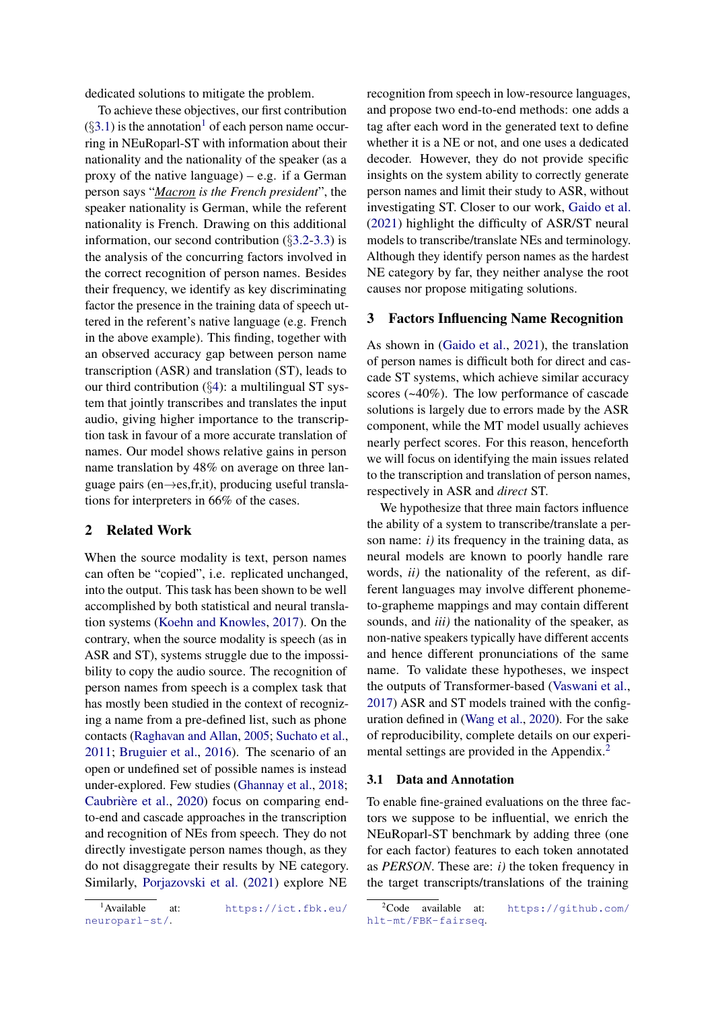dedicated solutions to mitigate the problem.

To achieve these objectives, our first contribution  $(\S 3.1)$  $(\S 3.1)$  is the annotation<sup>[1](#page-1-1)</sup> of each person name occurring in NEuRoparl-ST with information about their nationality and the nationality of the speaker (as a proxy of the native language) – e.g. if a German person says "*Macron is the French president*", the speaker nationality is German, while the referent nationality is French. Drawing on this additional information, our second contribution (§[3.2-](#page-2-0)[3.3\)](#page-2-1) is the analysis of the concurring factors involved in the correct recognition of person names. Besides their frequency, we identify as key discriminating factor the presence in the training data of speech uttered in the referent's native language (e.g. French in the above example). This finding, together with an observed accuracy gap between person name transcription (ASR) and translation (ST), leads to our third contribution  $(\S4)$  $(\S4)$ : a multilingual ST system that jointly transcribes and translates the input audio, giving higher importance to the transcription task in favour of a more accurate translation of names. Our model shows relative gains in person name translation by 48% on average on three language pairs (en $\rightarrow$ es, fr, it), producing useful translations for interpreters in 66% of the cases.

# 2 Related Work

When the source modality is text, person names can often be "copied", i.e. replicated unchanged, into the output. This task has been shown to be well accomplished by both statistical and neural translation systems [\(Koehn and Knowles,](#page-9-10) [2017\)](#page-9-10). On the contrary, when the source modality is speech (as in ASR and ST), systems struggle due to the impossibility to copy the audio source. The recognition of person names from speech is a complex task that has mostly been studied in the context of recognizing a name from a pre-defined list, such as phone contacts [\(Raghavan and Allan,](#page-9-11) [2005;](#page-9-11) [Suchato et al.,](#page-10-5) [2011;](#page-10-5) [Bruguier et al.,](#page-8-5) [2016\)](#page-8-5). The scenario of an open or undefined set of possible names is instead under-explored. Few studies [\(Ghannay et al.,](#page-9-12) [2018;](#page-9-12) [Caubrière et al.,](#page-8-6) [2020\)](#page-8-6) focus on comparing endto-end and cascade approaches in the transcription and recognition of NEs from speech. They do not directly investigate person names though, as they do not disaggregate their results by NE category. Similarly, [Porjazovski et al.](#page-9-13) [\(2021\)](#page-9-13) explore NE

recognition from speech in low-resource languages, and propose two end-to-end methods: one adds a tag after each word in the generated text to define whether it is a NE or not, and one uses a dedicated decoder. However, they do not provide specific insights on the system ability to correctly generate person names and limit their study to ASR, without investigating ST. Closer to our work, [Gaido et al.](#page-9-9) [\(2021\)](#page-9-9) highlight the difficulty of ASR/ST neural models to transcribe/translate NEs and terminology. Although they identify person names as the hardest NE category by far, they neither analyse the root causes nor propose mitigating solutions.

### 3 Factors Influencing Name Recognition

As shown in [\(Gaido et al.,](#page-9-9) [2021\)](#page-9-9), the translation of person names is difficult both for direct and cascade ST systems, which achieve similar accuracy scores (~40%). The low performance of cascade solutions is largely due to errors made by the ASR component, while the MT model usually achieves nearly perfect scores. For this reason, henceforth we will focus on identifying the main issues related to the transcription and translation of person names, respectively in ASR and *direct* ST.

We hypothesize that three main factors influence the ability of a system to transcribe/translate a person name: *i)* its frequency in the training data, as neural models are known to poorly handle rare words, *ii)* the nationality of the referent, as different languages may involve different phonemeto-grapheme mappings and may contain different sounds, and *iii)* the nationality of the speaker, as non-native speakers typically have different accents and hence different pronunciations of the same name. To validate these hypotheses, we inspect the outputs of Transformer-based [\(Vaswani et al.,](#page-10-6) [2017\)](#page-10-6) ASR and ST models trained with the configuration defined in [\(Wang et al.,](#page-10-7) [2020\)](#page-10-7). For the sake of reproducibility, complete details on our experi-mental settings are provided in the Appendix.<sup>[2](#page-1-2)</sup>

### <span id="page-1-0"></span>3.1 Data and Annotation

To enable fine-grained evaluations on the three factors we suppose to be influential, we enrich the NEuRoparl-ST benchmark by adding three (one for each factor) features to each token annotated as *PERSON*. These are: *i)* the token frequency in the target transcripts/translations of the training

<span id="page-1-1"></span><sup>&</sup>lt;sup>1</sup>Available at: [https://ict.fbk.eu/](https://ict.fbk.eu/neuroparl-st/) [neuroparl-st/](https://ict.fbk.eu/neuroparl-st/).

<span id="page-1-2"></span> $^{2}$ Code available at: [https://github.com/](https://github.com/hlt-mt/FBK-fairseq) [hlt-mt/FBK-fairseq](https://github.com/hlt-mt/FBK-fairseq).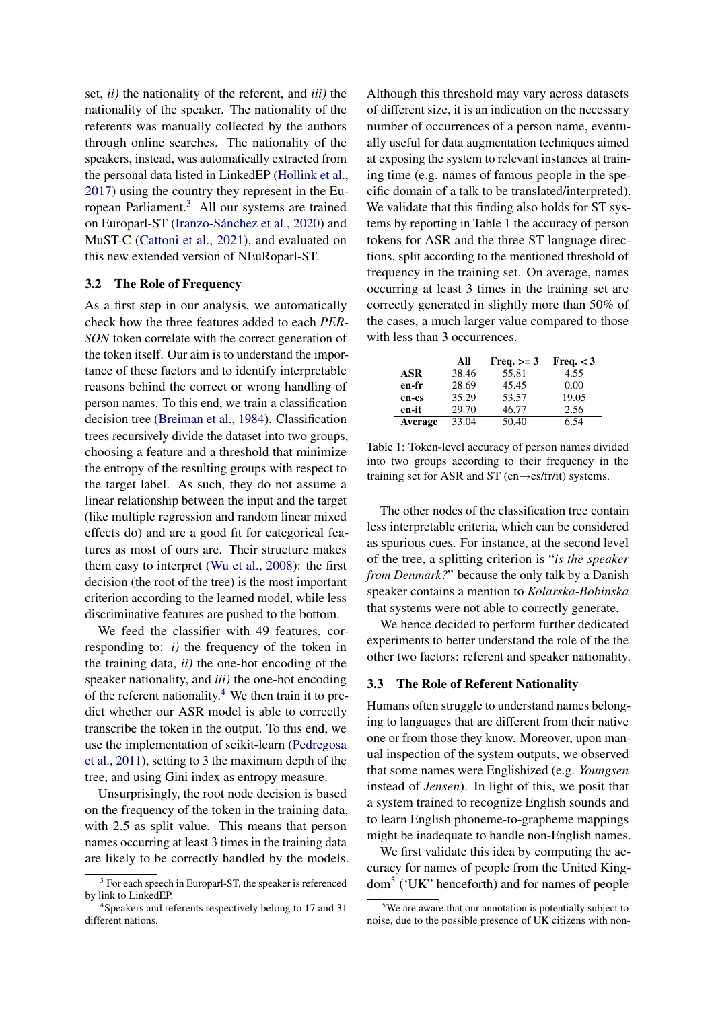set, *ii)* the nationality of the referent, and *iii)* the nationality of the speaker. The nationality of the referents was manually collected by the authors through online searches. The nationality of the speakers, instead, was automatically extracted from the personal data listed in LinkedEP [\(Hollink et al.,](#page-9-14) [2017\)](#page-9-14) using the country they represent in the European Parliament.[3](#page-2-2) All our systems are trained on Europarl-ST [\(Iranzo-Sánchez et al.,](#page-9-15) [2020\)](#page-9-15) and MuST-C [\(Cattoni et al.,](#page-8-7) [2021\)](#page-8-7), and evaluated on this new extended version of NEuRoparl-ST.

### <span id="page-2-0"></span>3.2 The Role of Frequency

As a first step in our analysis, we automatically check how the three features added to each *PER-SON* token correlate with the correct generation of the token itself. Our aim is to understand the importance of these factors and to identify interpretable reasons behind the correct or wrong handling of person names. To this end, we train a classification decision tree [\(Breiman et al.,](#page-8-8) [1984\)](#page-8-8). Classification trees recursively divide the dataset into two groups, choosing a feature and a threshold that minimize the entropy of the resulting groups with respect to the target label. As such, they do not assume a linear relationship between the input and the target (like multiple regression and random linear mixed effects do) and are a good fit for categorical features as most of ours are. Their structure makes them easy to interpret [\(Wu et al.,](#page-10-8) [2008\)](#page-10-8): the first decision (the root of the tree) is the most important criterion according to the learned model, while less discriminative features are pushed to the bottom.

We feed the classifier with 49 features, corresponding to: *i)* the frequency of the token in the training data, *ii)* the one-hot encoding of the speaker nationality, and *iii)* the one-hot encoding of the referent nationality.<sup>[4](#page-2-3)</sup> We then train it to predict whether our ASR model is able to correctly transcribe the token in the output. To this end, we use the implementation of scikit-learn [\(Pedregosa](#page-9-16) [et al.,](#page-9-16) [2011\)](#page-9-16), setting to 3 the maximum depth of the tree, and using Gini index as entropy measure.

Unsurprisingly, the root node decision is based on the frequency of the token in the training data, with 2.5 as split value. This means that person names occurring at least 3 times in the training data are likely to be correctly handled by the models. Although this threshold may vary across datasets of different size, it is an indication on the necessary number of occurrences of a person name, eventually useful for data augmentation techniques aimed at exposing the system to relevant instances at training time (e.g. names of famous people in the specific domain of a talk to be translated/interpreted). We validate that this finding also holds for ST systems by reporting in Table [1](#page-2-4) the accuracy of person tokens for ASR and the three ST language directions, split according to the mentioned threshold of frequency in the training set. On average, names occurring at least 3 times in the training set are correctly generated in slightly more than 50% of the cases, a much larger value compared to those with less than 3 occurrences.

<span id="page-2-4"></span>

|            | All   | Freq. $>=$ 3 | Freq. $<$ 3 |
|------------|-------|--------------|-------------|
| <b>ASR</b> | 38.46 | 55.81        | 4.55        |
| en-fr      | 28.69 | 45.45        | 0.00        |
| en-es      | 35.29 | 53.57        | 19.05       |
| en-it      | 29.70 | 46.77        | 2.56        |
| Average    | 33.04 | 50.40        | 6.54        |

Table 1: Token-level accuracy of person names divided into two groups according to their frequency in the training set for ASR and ST (en $\rightarrow$ es/fr/it) systems.

The other nodes of the classification tree contain less interpretable criteria, which can be considered as spurious cues. For instance, at the second level of the tree, a splitting criterion is "*is the speaker from Denmark?*" because the only talk by a Danish speaker contains a mention to *Kolarska-Bobinska* that systems were not able to correctly generate.

We hence decided to perform further dedicated experiments to better understand the role of the the other two factors: referent and speaker nationality.

### <span id="page-2-1"></span>3.3 The Role of Referent Nationality

Humans often struggle to understand names belonging to languages that are different from their native one or from those they know. Moreover, upon manual inspection of the system outputs, we observed that some names were Englishized (e.g. *Youngsen* instead of *Jensen*). In light of this, we posit that a system trained to recognize English sounds and to learn English phoneme-to-grapheme mappings might be inadequate to handle non-English names.

We first validate this idea by computing the accuracy for names of people from the United Kingdom[5](#page-2-5) ('UK" henceforth) and for names of people

<span id="page-2-2"></span><sup>&</sup>lt;sup>3</sup> For each speech in Europarl-ST, the speaker is referenced by link to LinkedEP.

<span id="page-2-3"></span><sup>4</sup> Speakers and referents respectively belong to 17 and 31 different nations.

<span id="page-2-5"></span><sup>&</sup>lt;sup>5</sup>We are aware that our annotation is potentially subject to noise, due to the possible presence of UK citizens with non-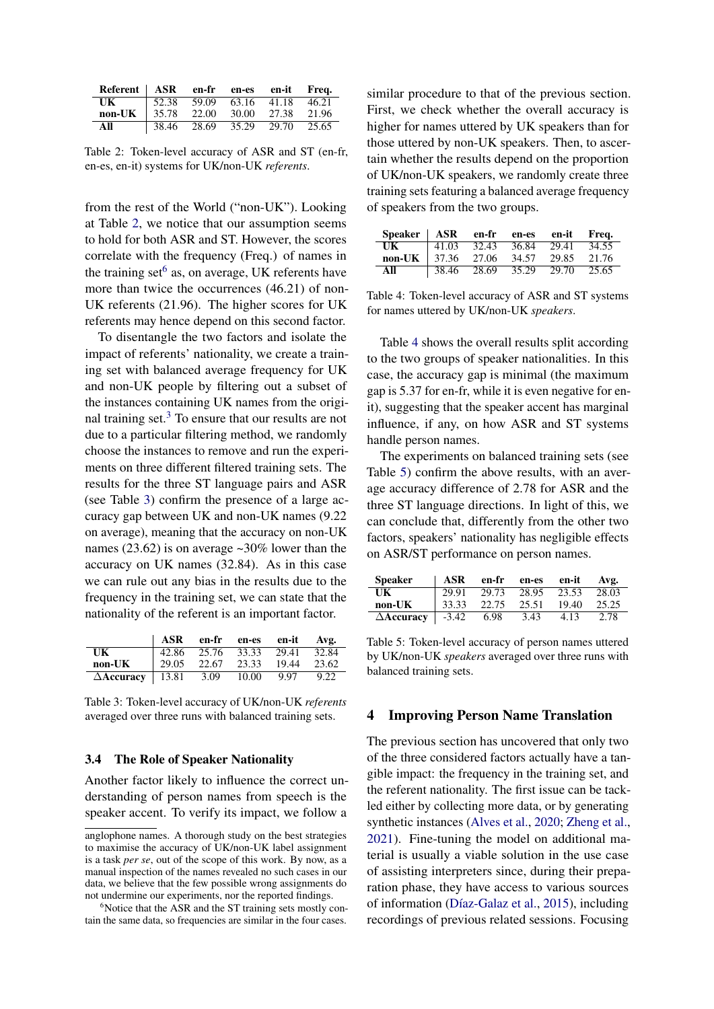<span id="page-3-1"></span>

| Referent ASR en-fr en-es en-it |                                       |  |       | Freq. |
|--------------------------------|---------------------------------------|--|-------|-------|
| $_{\rm{IJK}}$                  | $\vert$ 52.38 59.09 63.16 41.18 46.21 |  |       |       |
| non-UK                         | $\parallel$ 35.78 22.00 30.00 27.38   |  |       | 21.96 |
| All                            | 38.46 28.69 35.29                     |  | 29.70 | 25.65 |

Table 2: Token-level accuracy of ASR and ST (en-fr, en-es, en-it) systems for UK/non-UK *referents*.

from the rest of the World ("non-UK"). Looking at Table [2,](#page-3-1) we notice that our assumption seems to hold for both ASR and ST. However, the scores correlate with the frequency (Freq.) of names in the training set  $6$  as, on average, UK referents have more than twice the occurrences (46.21) of non-UK referents (21.96). The higher scores for UK referents may hence depend on this second factor.

To disentangle the two factors and isolate the impact of referents' nationality, we create a training set with balanced average frequency for UK and non-UK people by filtering out a subset of the instances containing UK names from the original training set.[3](#page-2-2) To ensure that our results are not due to a particular filtering method, we randomly choose the instances to remove and run the experiments on three different filtered training sets. The results for the three ST language pairs and ASR (see Table [3\)](#page-3-3) confirm the presence of a large accuracy gap between UK and non-UK names (9.22 on average), meaning that the accuracy on non-UK names (23.62) is on average ~30% lower than the accuracy on UK names (32.84). As in this case we can rule out any bias in the results due to the frequency in the training set, we can state that the nationality of the referent is an important factor.

<span id="page-3-3"></span>

|                           | ASR                     |       | en-fr en-es en-it |       | Avg.  |
|---------------------------|-------------------------|-------|-------------------|-------|-------|
| UK                        | 42.86 25.76 33.33 29.41 |       |                   |       | 32.84 |
| non-UK                    | 29.05                   | 22.67 | 23.33             | 19.44 | 23.62 |
| $\Delta$ Accuracy   13.81 |                         | 3.09  | 10.00             | 9.97  | 9.22  |

Table 3: Token-level accuracy of UK/non-UK *referents* averaged over three runs with balanced training sets.

### 3.4 The Role of Speaker Nationality

Another factor likely to influence the correct understanding of person names from speech is the speaker accent. To verify its impact, we follow a

similar procedure to that of the previous section. First, we check whether the overall accuracy is higher for names uttered by UK speakers than for those uttered by non-UK speakers. Then, to ascertain whether the results depend on the proportion of UK/non-UK speakers, we randomly create three training sets featuring a balanced average frequency of speakers from the two groups.

<span id="page-3-4"></span>

| $Speaker$ ASR en-fr |                       |       | en-es | en-it | Freq. |
|---------------------|-----------------------|-------|-------|-------|-------|
| UK                  | 41.03                 | 32.43 | 36.84 | 29.41 | 34.55 |
| non-UK              | $\frac{37.36}{27.06}$ |       | 34.57 | 29.85 | 21.76 |
| All                 | 38.46                 | 28.69 | 35.29 | 29.70 | 25.65 |

Table 4: Token-level accuracy of ASR and ST systems for names uttered by UK/non-UK *speakers*.

Table [4](#page-3-4) shows the overall results split according to the two groups of speaker nationalities. In this case, the accuracy gap is minimal (the maximum gap is 5.37 for en-fr, while it is even negative for enit), suggesting that the speaker accent has marginal influence, if any, on how ASR and ST systems handle person names.

The experiments on balanced training sets (see Table [5\)](#page-3-5) confirm the above results, with an average accuracy difference of 2.78 for ASR and the three ST language directions. In light of this, we can conclude that, differently from the other two factors, speakers' nationality has negligible effects on ASR/ST performance on person names.

<span id="page-3-5"></span>

| <b>Speaker</b>       | ASR     | en-fr | en-es | en-it | Avg.  |
|----------------------|---------|-------|-------|-------|-------|
| UK                   | 29.91   | 29.73 | 28.95 | 23.53 | 28.03 |
| non-UK               | 33.33   | 22.75 | 25.51 | 19.40 | 25.25 |
| $\triangle$ Accuracy | $-3.42$ | 6.98  | 3.43  | 4.13  | 2.78  |

Table 5: Token-level accuracy of person names uttered by UK/non-UK *speakers* averaged over three runs with balanced training sets.

### <span id="page-3-0"></span>4 Improving Person Name Translation

The previous section has uncovered that only two of the three considered factors actually have a tangible impact: the frequency in the training set, and the referent nationality. The first issue can be tackled either by collecting more data, or by generating synthetic instances [\(Alves et al.,](#page-8-9) [2020;](#page-8-9) [Zheng et al.,](#page-10-9) [2021\)](#page-10-9). Fine-tuning the model on additional material is usually a viable solution in the use case of assisting interpreters since, during their preparation phase, they have access to various sources of information [\(Díaz-Galaz et al.,](#page-8-10) [2015\)](#page-8-10), including recordings of previous related sessions. Focusing

anglophone names. A thorough study on the best strategies to maximise the accuracy of UK/non-UK label assignment is a task *per se*, out of the scope of this work. By now, as a manual inspection of the names revealed no such cases in our data, we believe that the few possible wrong assignments do not undermine our experiments, nor the reported findings.

<span id="page-3-2"></span> $6^6$ Notice that the ASR and the ST training sets mostly contain the same data, so frequencies are similar in the four cases.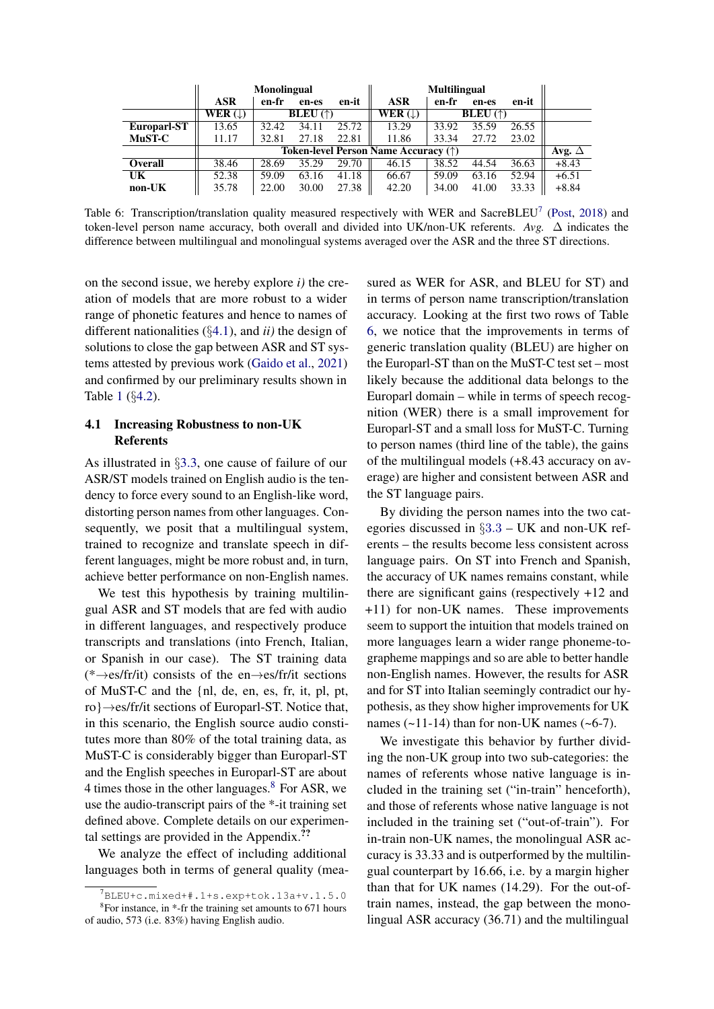<span id="page-4-3"></span>

|             | <b>Monolingual</b>                   |       |                          |       | <b>Multilingual</b> |       |                          |       |         |
|-------------|--------------------------------------|-------|--------------------------|-------|---------------------|-------|--------------------------|-------|---------|
|             | <b>ASR</b>                           | en-fr | en-es                    | en-it | <b>ASR</b>          | en-fr | en-es                    | en-it |         |
|             | WER $(\downarrow)$                   |       | <b>BLEU</b> $(\uparrow)$ |       | WER $(\downarrow)$  |       | <b>BLEU</b> $(\uparrow)$ |       |         |
| Europarl-ST | 13.65                                | 32.42 | 34.11                    | 25.72 | 13.29               | 33.92 | 35.59                    | 26.55 |         |
| MuST-C      | 11.17                                | 32.81 | 27.18                    | 22.81 | 11.86               | 33.34 | 27.72                    | 23.02 |         |
|             | Token-level Person Name Accuracy (†) |       |                          |       |                     |       |                          |       |         |
| Overall     | 38.46                                | 28.69 | 35.29                    | 29.70 | 46.15               | 38.52 | 44.54                    | 36.63 | $+8.43$ |
| UK          | 52.38                                | 59.09 | 63.16                    | 41.18 | 66.67               | 59.09 | 63.16                    | 52.94 | $+6.51$ |
| non-UK      | 35.78                                | 22.00 | 30.00                    | 27.38 | 42.20               | 34.00 | 41.00                    | 33.33 | $+8.84$ |

Table 6: Transcription/translation quality measured respectively with WER and SacreBLEU<sup>[7](#page-4-0)</sup> [\(Post,](#page-9-17) [2018\)](#page-9-17) and token-level person name accuracy, both overall and divided into UK/non-UK referents. *Avg.*  $\Delta$  indicates the difference between multilingual and monolingual systems averaged over the ASR and the three ST directions.

on the second issue, we hereby explore *i)* the creation of models that are more robust to a wider range of phonetic features and hence to names of different nationalities (§[4.1\)](#page-4-1), and *ii)* the design of solutions to close the gap between ASR and ST systems attested by previous work [\(Gaido et al.,](#page-9-9) [2021\)](#page-9-9) and confirmed by our preliminary results shown in Table [1](#page-2-4) (§[4.2\)](#page-5-0).

# <span id="page-4-1"></span>4.1 Increasing Robustness to non-UK **Referents**

As illustrated in §[3.3,](#page-2-1) one cause of failure of our ASR/ST models trained on English audio is the tendency to force every sound to an English-like word, distorting person names from other languages. Consequently, we posit that a multilingual system, trained to recognize and translate speech in different languages, might be more robust and, in turn, achieve better performance on non-English names.

We test this hypothesis by training multilingual ASR and ST models that are fed with audio in different languages, and respectively produce transcripts and translations (into French, Italian, or Spanish in our case). The ST training data (\*→es/fr/it) consists of the en→es/fr/it sections of MuST-C and the {nl, de, en, es, fr, it, pl, pt, ro}→es/fr/it sections of Europarl-ST. Notice that, in this scenario, the English source audio constitutes more than 80% of the total training data, as MuST-C is considerably bigger than Europarl-ST and the English speeches in Europarl-ST are about 4 times those in the other languages. $8$  For ASR, we use the audio-transcript pairs of the \*-it training set defined above. Complete details on our experimental settings are provided in the Appendix.??

We analyze the effect of including additional languages both in terms of general quality (measured as WER for ASR, and BLEU for ST) and in terms of person name transcription/translation accuracy. Looking at the first two rows of Table [6,](#page-4-3) we notice that the improvements in terms of generic translation quality (BLEU) are higher on the Europarl-ST than on the MuST-C test set – most likely because the additional data belongs to the Europarl domain – while in terms of speech recognition (WER) there is a small improvement for Europarl-ST and a small loss for MuST-C. Turning to person names (third line of the table), the gains of the multilingual models (+8.43 accuracy on average) are higher and consistent between ASR and the ST language pairs.

By dividing the person names into the two categories discussed in §[3](#page-2-1).3 – UK and non-UK referents – the results become less consistent across language pairs. On ST into French and Spanish, the accuracy of UK names remains constant, while there are significant gains (respectively +12 and +11) for non-UK names. These improvements seem to support the intuition that models trained on more languages learn a wider range phoneme-tographeme mappings and so are able to better handle non-English names. However, the results for ASR and for ST into Italian seemingly contradict our hypothesis, as they show higher improvements for UK names  $(-11-14)$  than for non-UK names  $(-6-7)$ .

We investigate this behavior by further dividing the non-UK group into two sub-categories: the names of referents whose native language is included in the training set ("in-train" henceforth), and those of referents whose native language is not included in the training set ("out-of-train"). For in-train non-UK names, the monolingual ASR accuracy is 33.33 and is outperformed by the multilingual counterpart by 16.66, i.e. by a margin higher than that for UK names (14.29). For the out-oftrain names, instead, the gap between the monolingual ASR accuracy (36.71) and the multilingual

<span id="page-4-2"></span><span id="page-4-0"></span> $^7$ BLEU+c.mixed+#.1+s.exp+tok.13a+v.1.5.0 <sup>8</sup>For instance, in \*-fr the training set amounts to 671 hours of audio, 573 (i.e. 83%) having English audio.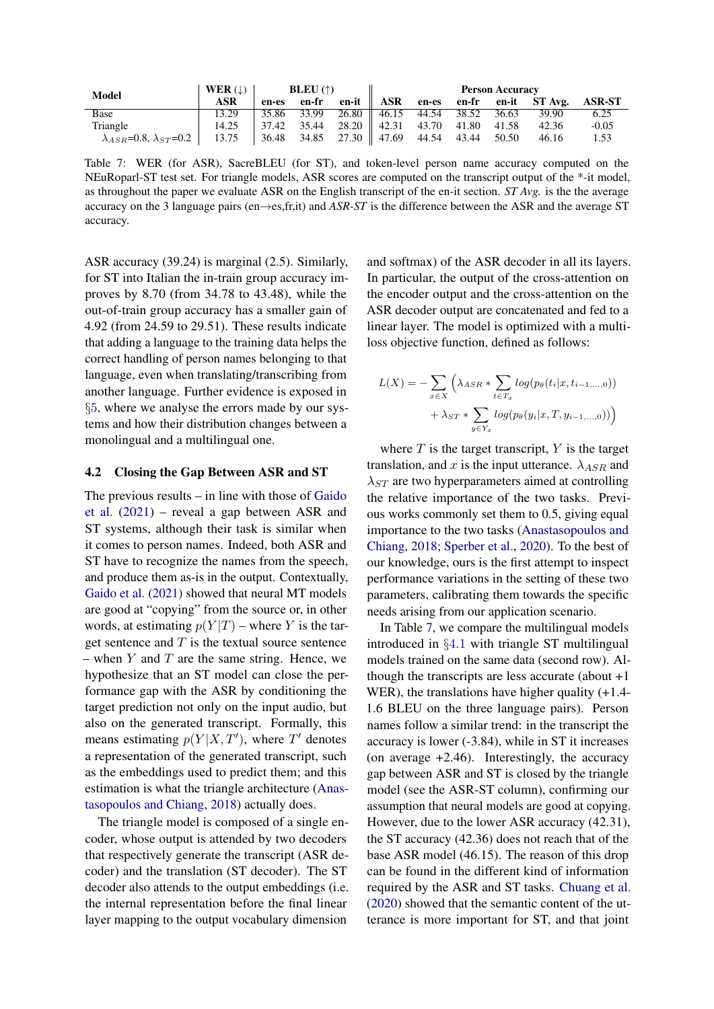<span id="page-5-1"></span>

| <b>Model</b>                              | WER $( \downarrow )$ | BLEU (†) |             |                                                                                                              | <b>Person Accuracy</b> |  |  |       |                                                  |         |
|-------------------------------------------|----------------------|----------|-------------|--------------------------------------------------------------------------------------------------------------|------------------------|--|--|-------|--------------------------------------------------|---------|
|                                           | ASR                  | en-es    |             |                                                                                                              |                        |  |  |       | en-fr en-it ASR en-es en-fr en-it ST Avg. ASR-ST |         |
| Base                                      | 13.29                |          | 35.86 33.99 | 26.80    46.15 44.54 38.52                                                                                   |                        |  |  | 36.63 | 39.90                                            | 6.25    |
| Triangle                                  | 14.25                |          | 37.42 35.44 | 28.20    42.31 43.70 41.80 41.58                                                                             |                        |  |  |       | 42.36                                            | $-0.05$ |
| $\lambda_{ASR}$ =0.8, $\lambda_{ST}$ =0.2 | 13.75                |          |             | $\begin{array}{ c c c c c c c c c } \hline 36.48 & 34.85 & 27.30 & 47.69 & 44.54 & 43.44 \hline \end{array}$ |                        |  |  | 50.50 | 46.16                                            | 1.53    |

Table 7: WER (for ASR), SacreBLEU (for ST), and token-level person name accuracy computed on the NEuRoparl-ST test set. For triangle models, ASR scores are computed on the transcript output of the \*-it model, as throughout the paper we evaluate ASR on the English transcript of the en-it section. *ST Avg.* is the the average accuracy on the 3 language pairs (en→es,fr,it) and *ASR-ST* is the difference between the ASR and the average ST accuracy.

ASR accuracy (39.24) is marginal (2.5). Similarly, for ST into Italian the in-train group accuracy improves by 8.70 (from 34.78 to 43.48), while the out-of-train group accuracy has a smaller gain of 4.92 (from 24.59 to 29.51). These results indicate that adding a language to the training data helps the correct handling of person names belonging to that language, even when translating/transcribing from another language. Further evidence is exposed in §[5](#page-6-0), where we analyse the errors made by our systems and how their distribution changes between a monolingual and a multilingual one.

### <span id="page-5-0"></span>4.2 Closing the Gap Between ASR and ST

The previous results – in line with those of [Gaido](#page-9-9) [et al.](#page-9-9) [\(2021\)](#page-9-9) – reveal a gap between ASR and ST systems, although their task is similar when it comes to person names. Indeed, both ASR and ST have to recognize the names from the speech, and produce them as-is in the output. Contextually, [Gaido et al.](#page-9-9) [\(2021\)](#page-9-9) showed that neural MT models are good at "copying" from the source or, in other words, at estimating  $p(Y|T)$  – where Y is the target sentence and  $T$  is the textual source sentence – when  $Y$  and  $T$  are the same string. Hence, we hypothesize that an ST model can close the performance gap with the ASR by conditioning the target prediction not only on the input audio, but also on the generated transcript. Formally, this means estimating  $p(Y|X,T')$ , where T' denotes a representation of the generated transcript, such as the embeddings used to predict them; and this estimation is what the triangle architecture [\(Anas](#page-8-11)[tasopoulos and Chiang,](#page-8-11) [2018\)](#page-8-11) actually does.

The triangle model is composed of a single encoder, whose output is attended by two decoders that respectively generate the transcript (ASR decoder) and the translation (ST decoder). The ST decoder also attends to the output embeddings (i.e. the internal representation before the final linear layer mapping to the output vocabulary dimension

and softmax) of the ASR decoder in all its layers. In particular, the output of the cross-attention on the encoder output and the cross-attention on the ASR decoder output are concatenated and fed to a linear layer. The model is optimized with a multiloss objective function, defined as follows:

$$
L(X) = -\sum_{x \in X} \left( \lambda_{ASR} * \sum_{t \in T_x} log(p_{\theta}(t_i | x, t_{i-1,...,0})) + \lambda_{ST} * \sum_{y \in Y_x} log(p_{\theta}(y_i | x, T, y_{i-1,...,0})) \right)
$$

where  $T$  is the target transcript,  $Y$  is the target translation, and x is the input utterance.  $\lambda_{ASR}$  and  $\lambda_{ST}$  are two hyperparameters aimed at controlling the relative importance of the two tasks. Previous works commonly set them to 0.5, giving equal importance to the two tasks [\(Anastasopoulos and](#page-8-11) [Chiang,](#page-8-11) [2018;](#page-8-11) [Sperber et al.,](#page-10-10) [2020\)](#page-10-10). To the best of our knowledge, ours is the first attempt to inspect performance variations in the setting of these two parameters, calibrating them towards the specific needs arising from our application scenario.

In Table [7,](#page-5-1) we compare the multilingual models introduced in §[4](#page-4-1).1 with triangle ST multilingual models trained on the same data (second row). Although the transcripts are less accurate (about +1 WER), the translations have higher quality  $(+1.4$ -1.6 BLEU on the three language pairs). Person names follow a similar trend: in the transcript the accuracy is lower (-3.84), while in ST it increases (on average +2.46). Interestingly, the accuracy gap between ASR and ST is closed by the triangle model (see the ASR-ST column), confirming our assumption that neural models are good at copying. However, due to the lower ASR accuracy (42.31), the ST accuracy (42.36) does not reach that of the base ASR model (46.15). The reason of this drop can be found in the different kind of information required by the ASR and ST tasks. [Chuang et al.](#page-8-12) [\(2020\)](#page-8-12) showed that the semantic content of the utterance is more important for ST, and that joint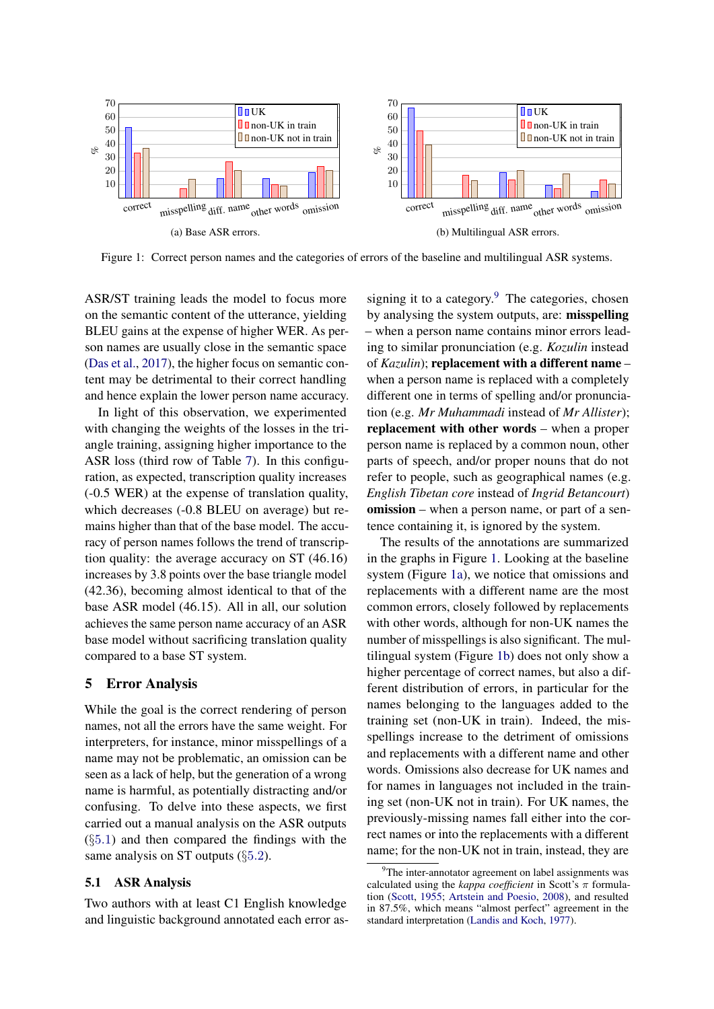<span id="page-6-4"></span><span id="page-6-3"></span>

Figure 1: Correct person names and the categories of errors of the baseline and multilingual ASR systems.

ASR/ST training leads the model to focus more on the semantic content of the utterance, yielding BLEU gains at the expense of higher WER. As person names are usually close in the semantic space [\(Das et al.,](#page-8-13) [2017\)](#page-8-13), the higher focus on semantic content may be detrimental to their correct handling and hence explain the lower person name accuracy.

In light of this observation, we experimented with changing the weights of the losses in the triangle training, assigning higher importance to the ASR loss (third row of Table [7\)](#page-5-1). In this configuration, as expected, transcription quality increases (-0.5 WER) at the expense of translation quality, which decreases (-0.8 BLEU on average) but remains higher than that of the base model. The accuracy of person names follows the trend of transcription quality: the average accuracy on ST (46.16) increases by 3.8 points over the base triangle model (42.36), becoming almost identical to that of the base ASR model (46.15). All in all, our solution achieves the same person name accuracy of an ASR base model without sacrificing translation quality compared to a base ST system.

## <span id="page-6-0"></span>5 Error Analysis

While the goal is the correct rendering of person names, not all the errors have the same weight. For interpreters, for instance, minor misspellings of a name may not be problematic, an omission can be seen as a lack of help, but the generation of a wrong name is harmful, as potentially distracting and/or confusing. To delve into these aspects, we first carried out a manual analysis on the ASR outputs  $(\S 5.1)$  $(\S 5.1)$  $(\S 5.1)$  and then compared the findings with the same analysis on ST outputs (§[5](#page-7-0).2).

### <span id="page-6-1"></span>5.1 ASR Analysis

Two authors with at least C1 English knowledge and linguistic background annotated each error as-

<span id="page-6-5"></span>signing it to a category. $9$  The categories, chosen by analysing the system outputs, are: misspelling – when a person name contains minor errors leading to similar pronunciation (e.g. *Kozulin* instead of *Kazulin*); replacement with a different name – when a person name is replaced with a completely different one in terms of spelling and/or pronunciation (e.g. *Mr Muhammadi* instead of *Mr Allister*); replacement with other words – when a proper person name is replaced by a common noun, other parts of speech, and/or proper nouns that do not refer to people, such as geographical names (e.g. *English Tibetan core* instead of *Ingrid Betancourt*) omission – when a person name, or part of a sentence containing it, is ignored by the system.

The results of the annotations are summarized in the graphs in Figure [1.](#page-6-3) Looking at the baseline system (Figure [1a\)](#page-6-4), we notice that omissions and replacements with a different name are the most common errors, closely followed by replacements with other words, although for non-UK names the number of misspellings is also significant. The multilingual system (Figure [1b\)](#page-6-5) does not only show a higher percentage of correct names, but also a different distribution of errors, in particular for the names belonging to the languages added to the training set (non-UK in train). Indeed, the misspellings increase to the detriment of omissions and replacements with a different name and other words. Omissions also decrease for UK names and for names in languages not included in the training set (non-UK not in train). For UK names, the previously-missing names fall either into the correct names or into the replacements with a different name; for the non-UK not in train, instead, they are

<span id="page-6-2"></span> $\rm{^{9}The}$  inter-annotator agreement on label assignments was calculated using the *kappa coefficient* in Scott's  $\pi$  formulation [\(Scott,](#page-10-11) [1955;](#page-10-11) [Artstein and Poesio,](#page-8-14) [2008\)](#page-8-14), and resulted in 87.5%, which means "almost perfect" agreement in the standard interpretation [\(Landis and Koch,](#page-9-18) [1977\)](#page-9-18).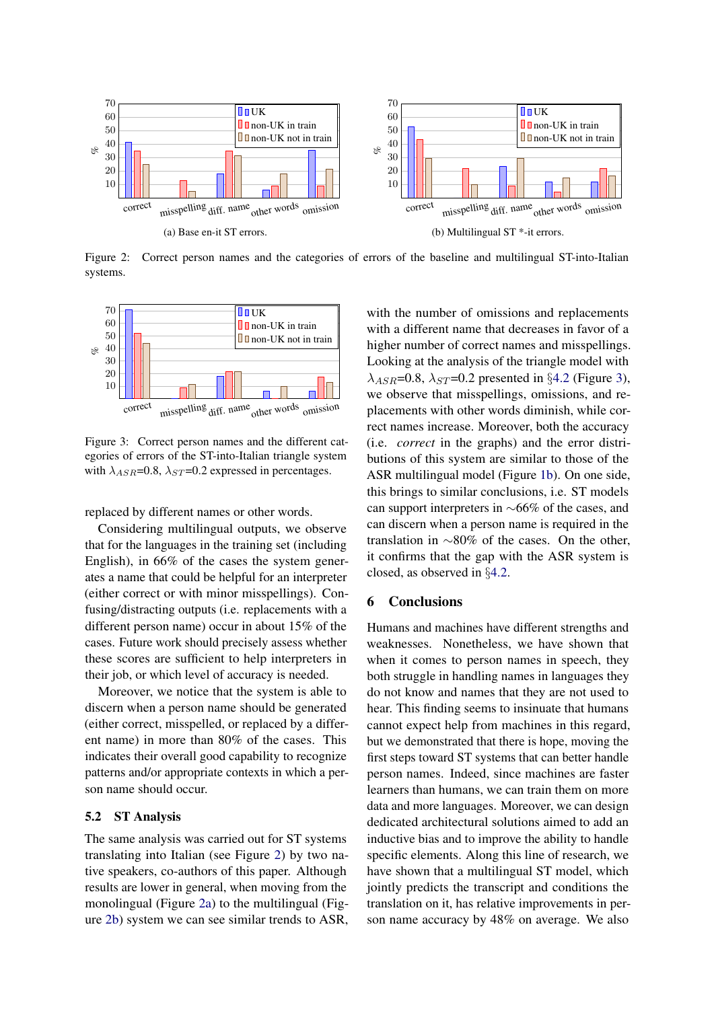<span id="page-7-2"></span><span id="page-7-1"></span>

Figure 2: Correct person names and the categories of errors of the baseline and multilingual ST-into-Italian systems.

<span id="page-7-4"></span>

Figure 3: Correct person names and the different categories of errors of the ST-into-Italian triangle system with  $\lambda_{ASR}$ =0.8,  $\lambda_{ST}$ =0.2 expressed in percentages.

replaced by different names or other words.

Considering multilingual outputs, we observe that for the languages in the training set (including English), in 66% of the cases the system generates a name that could be helpful for an interpreter (either correct or with minor misspellings). Confusing/distracting outputs (i.e. replacements with a different person name) occur in about 15% of the cases. Future work should precisely assess whether these scores are sufficient to help interpreters in their job, or which level of accuracy is needed.

Moreover, we notice that the system is able to discern when a person name should be generated (either correct, misspelled, or replaced by a different name) in more than 80% of the cases. This indicates their overall good capability to recognize patterns and/or appropriate contexts in which a person name should occur.

### <span id="page-7-0"></span>5.2 ST Analysis

The same analysis was carried out for ST systems translating into Italian (see Figure [2\)](#page-7-1) by two native speakers, co-authors of this paper. Although results are lower in general, when moving from the monolingual (Figure [2a\)](#page-7-2) to the multilingual (Figure [2b\)](#page-7-3) system we can see similar trends to ASR, <span id="page-7-3"></span>with the number of omissions and replacements with a different name that decreases in favor of a higher number of correct names and misspellings. Looking at the analysis of the triangle model with  $\lambda_{ASR}$ =0.8,  $\lambda_{ST}$ =0.2 presented in §[4.2](#page-5-0) (Figure [3\)](#page-7-4), we observe that misspellings, omissions, and replacements with other words diminish, while correct names increase. Moreover, both the accuracy (i.e. *correct* in the graphs) and the error distributions of this system are similar to those of the ASR multilingual model (Figure [1b\)](#page-6-5). On one side, this brings to similar conclusions, i.e. ST models can support interpreters in ∼66% of the cases, and can discern when a person name is required in the translation in ∼80% of the cases. On the other, it confirms that the gap with the ASR system is closed, as observed in §[4.2.](#page-5-0)

## 6 Conclusions

Humans and machines have different strengths and weaknesses. Nonetheless, we have shown that when it comes to person names in speech, they both struggle in handling names in languages they do not know and names that they are not used to hear. This finding seems to insinuate that humans cannot expect help from machines in this regard, but we demonstrated that there is hope, moving the first steps toward ST systems that can better handle person names. Indeed, since machines are faster learners than humans, we can train them on more data and more languages. Moreover, we can design dedicated architectural solutions aimed to add an inductive bias and to improve the ability to handle specific elements. Along this line of research, we have shown that a multilingual ST model, which jointly predicts the transcript and conditions the translation on it, has relative improvements in person name accuracy by 48% on average. We also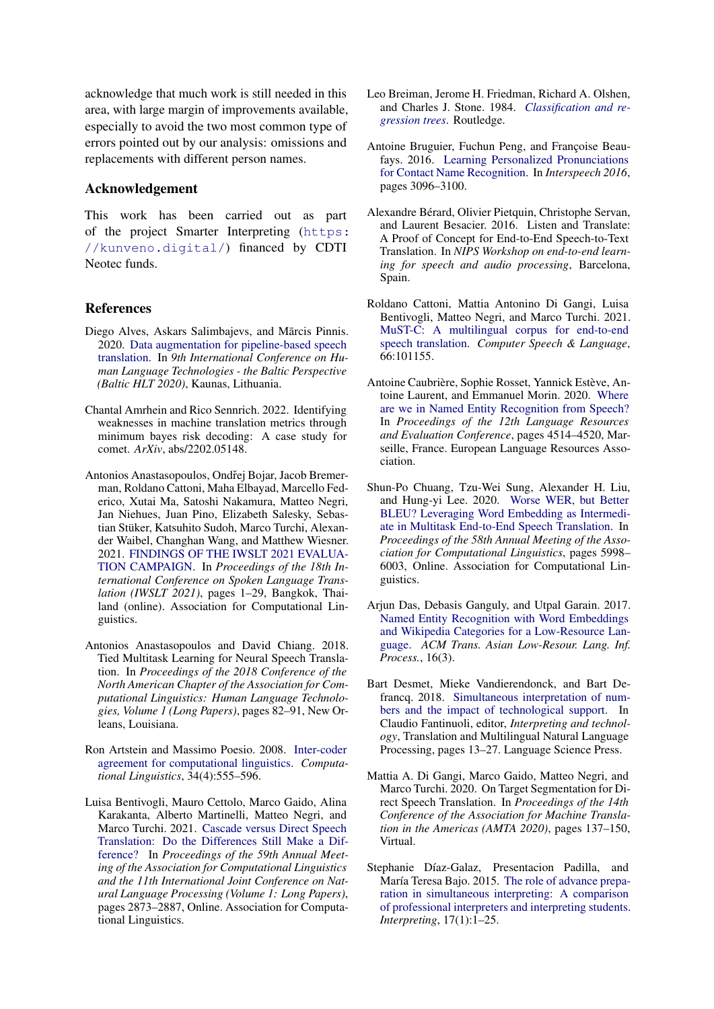acknowledge that much work is still needed in this area, with large margin of improvements available, especially to avoid the two most common type of errors pointed out by our analysis: omissions and replacements with different person names.

### Acknowledgement

This work has been carried out as part of the project Smarter Interpreting ([https:](https://kunveno.digital/) [//kunveno.digital/](https://kunveno.digital/)) financed by CDTI Neotec funds.

### References

- <span id="page-8-9"></span>Diego Alves, Askars Salimbajevs, and Mārcis Pinnis. 2020. [Data augmentation for pipeline-based speech](https://hal.inria.fr/hal-02907053) [translation.](https://hal.inria.fr/hal-02907053) In *9th International Conference on Human Language Technologies - the Baltic Perspective (Baltic HLT 2020)*, Kaunas, Lithuania.
- <span id="page-8-3"></span>Chantal Amrhein and Rico Sennrich. 2022. Identifying weaknesses in machine translation metrics through minimum bayes risk decoding: A case study for comet. *ArXiv*, abs/2202.05148.
- <span id="page-8-0"></span>Antonios Anastasopoulos, Ondřej Bojar, Jacob Bremerman, Roldano Cattoni, Maha Elbayad, Marcello Federico, Xutai Ma, Satoshi Nakamura, Matteo Negri, Jan Niehues, Juan Pino, Elizabeth Salesky, Sebastian Stüker, Katsuhito Sudoh, Marco Turchi, Alexander Waibel, Changhan Wang, and Matthew Wiesner. 2021. [FINDINGS OF THE IWSLT 2021 EVALUA-](https://doi.org/10.18653/v1/2021.iwslt-1.1)[TION CAMPAIGN.](https://doi.org/10.18653/v1/2021.iwslt-1.1) In *Proceedings of the 18th International Conference on Spoken Language Translation (IWSLT 2021)*, pages 1–29, Bangkok, Thailand (online). Association for Computational Linguistics.
- <span id="page-8-11"></span>Antonios Anastasopoulos and David Chiang. 2018. Tied Multitask Learning for Neural Speech Translation. In *Proceedings of the 2018 Conference of the North American Chapter of the Association for Computational Linguistics: Human Language Technologies, Volume 1 (Long Papers)*, pages 82–91, New Orleans, Louisiana.
- <span id="page-8-14"></span>Ron Artstein and Massimo Poesio. 2008. [Inter-coder](https://doi.org/10.1162/coli.07-034-R2) [agreement for computational linguistics.](https://doi.org/10.1162/coli.07-034-R2) *Computational Linguistics*, 34(4):555–596.
- <span id="page-8-1"></span>Luisa Bentivogli, Mauro Cettolo, Marco Gaido, Alina Karakanta, Alberto Martinelli, Matteo Negri, and Marco Turchi. 2021. [Cascade versus Direct Speech](https://doi.org/10.18653/v1/2021.acl-long.224) [Translation: Do the Differences Still Make a Dif](https://doi.org/10.18653/v1/2021.acl-long.224)[ference?](https://doi.org/10.18653/v1/2021.acl-long.224) In *Proceedings of the 59th Annual Meeting of the Association for Computational Linguistics and the 11th International Joint Conference on Natural Language Processing (Volume 1: Long Papers)*, pages 2873–2887, Online. Association for Computational Linguistics.
- <span id="page-8-8"></span>Leo Breiman, Jerome H. Friedman, Richard A. Olshen, and Charles J. Stone. 1984. *[Classification and re](https://doi.org/https://doi.org/10.1201/9781315139470)[gression trees](https://doi.org/https://doi.org/10.1201/9781315139470)*. Routledge.
- <span id="page-8-5"></span>Antoine Bruguier, Fuchun Peng, and Françoise Beaufays. 2016. [Learning Personalized Pronunciations](https://doi.org/10.21437/Interspeech.2016-537) [for Contact Name Recognition.](https://doi.org/10.21437/Interspeech.2016-537) In *Interspeech 2016*, pages 3096–3100.
- <span id="page-8-2"></span>Alexandre Bérard, Olivier Pietquin, Christophe Servan, and Laurent Besacier. 2016. Listen and Translate: A Proof of Concept for End-to-End Speech-to-Text Translation. In *NIPS Workshop on end-to-end learning for speech and audio processing*, Barcelona, Spain.
- <span id="page-8-7"></span>Roldano Cattoni, Mattia Antonino Di Gangi, Luisa Bentivogli, Matteo Negri, and Marco Turchi. 2021. [MuST-C: A multilingual corpus for end-to-end](https://doi.org/https://doi.org/10.1016/j.csl.2020.101155) [speech translation.](https://doi.org/https://doi.org/10.1016/j.csl.2020.101155) *Computer Speech & Language*, 66:101155.
- <span id="page-8-6"></span>Antoine Caubrière, Sophie Rosset, Yannick Estève, Antoine Laurent, and Emmanuel Morin. 2020. [Where](https://www.aclweb.org/anthology/2020.lrec-1.556) [are we in Named Entity Recognition from Speech?](https://www.aclweb.org/anthology/2020.lrec-1.556) In *Proceedings of the 12th Language Resources and Evaluation Conference*, pages 4514–4520, Marseille, France. European Language Resources Association.
- <span id="page-8-12"></span>Shun-Po Chuang, Tzu-Wei Sung, Alexander H. Liu, and Hung-yi Lee. 2020. [Worse WER, but Better](https://doi.org/10.18653/v1/2020.acl-main.533) [BLEU? Leveraging Word Embedding as Intermedi](https://doi.org/10.18653/v1/2020.acl-main.533)[ate in Multitask End-to-End Speech Translation.](https://doi.org/10.18653/v1/2020.acl-main.533) In *Proceedings of the 58th Annual Meeting of the Association for Computational Linguistics*, pages 5998– 6003, Online. Association for Computational Linguistics.
- <span id="page-8-13"></span>Arjun Das, Debasis Ganguly, and Utpal Garain. 2017. [Named Entity Recognition with Word Embeddings](https://doi.org/10.1145/3015467) [and Wikipedia Categories for a Low-Resource Lan](https://doi.org/10.1145/3015467)[guage.](https://doi.org/10.1145/3015467) *ACM Trans. Asian Low-Resour. Lang. Inf. Process.*, 16(3).
- <span id="page-8-4"></span>Bart Desmet, Mieke Vandierendonck, and Bart Defrancq. 2018. [Simultaneous interpretation of num](http://dx.doi.org/10.5281/zenodo.1493281)[bers and the impact of technological support.](http://dx.doi.org/10.5281/zenodo.1493281) In Claudio Fantinuoli, editor, *Interpreting and technology*, Translation and Multilingual Natural Language Processing, pages 13–27. Language Science Press.
- <span id="page-8-15"></span>Mattia A. Di Gangi, Marco Gaido, Matteo Negri, and Marco Turchi. 2020. On Target Segmentation for Direct Speech Translation. In *Proceedings of the 14th Conference of the Association for Machine Translation in the Americas (AMTA 2020)*, pages 137–150, Virtual.
- <span id="page-8-10"></span>Stephanie Díaz-Galaz, Presentacion Padilla, and María Teresa Bajo. 2015. [The role of advance prepa](https://doi.org/https://doi.org/10.1075/intp.17.1.01dia)[ration in simultaneous interpreting: A comparison](https://doi.org/https://doi.org/10.1075/intp.17.1.01dia) [of professional interpreters and interpreting students.](https://doi.org/https://doi.org/10.1075/intp.17.1.01dia) *Interpreting*, 17(1):1–25.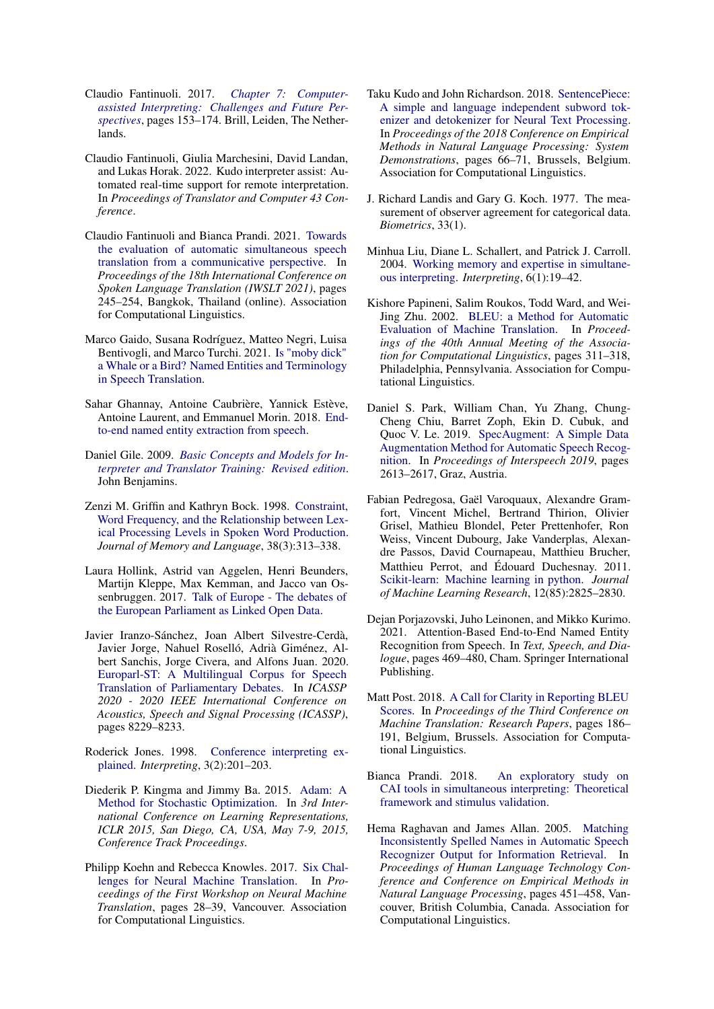- <span id="page-9-7"></span>Claudio Fantinuoli. 2017. *[Chapter 7: Computer](https://doi.org/https://doi.org/10.1163/9789004351790_009)[assisted Interpreting: Challenges and Future Per](https://doi.org/https://doi.org/10.1163/9789004351790_009)[spectives](https://doi.org/https://doi.org/10.1163/9789004351790_009)*, pages 153–174. Brill, Leiden, The Netherlands.
- <span id="page-9-8"></span>Claudio Fantinuoli, Giulia Marchesini, David Landan, and Lukas Horak. 2022. Kudo interpreter assist: Automated real-time support for remote interpretation. In *Proceedings of Translator and Computer 43 Conference*.
- <span id="page-9-1"></span>Claudio Fantinuoli and Bianca Prandi. 2021. [Towards](https://doi.org/10.18653/v1/2021.iwslt-1.29) [the evaluation of automatic simultaneous speech](https://doi.org/10.18653/v1/2021.iwslt-1.29) [translation from a communicative perspective.](https://doi.org/10.18653/v1/2021.iwslt-1.29) In *Proceedings of the 18th International Conference on Spoken Language Translation (IWSLT 2021)*, pages 245–254, Bangkok, Thailand (online). Association for Computational Linguistics.
- <span id="page-9-9"></span>Marco Gaido, Susana Rodríguez, Matteo Negri, Luisa Bentivogli, and Marco Turchi. 2021. [Is "moby dick"](http://arxiv.org/abs/2109.07439) [a Whale or a Bird? Named Entities and Terminology](http://arxiv.org/abs/2109.07439) [in Speech Translation.](http://arxiv.org/abs/2109.07439)
- <span id="page-9-12"></span>Sahar Ghannay, Antoine Caubrière, Yannick Estève, Antoine Laurent, and Emmanuel Morin. 2018. [End](http://arxiv.org/abs/1805.12045)[to-end named entity extraction from speech.](http://arxiv.org/abs/1805.12045)
- <span id="page-9-4"></span>Daniel Gile. 2009. *[Basic Concepts and Models for In](https://www.jbe-platform.com/content/books/9789027288080)[terpreter and Translator Training: Revised edition](https://www.jbe-platform.com/content/books/9789027288080)*. John Benjamins.
- <span id="page-9-6"></span>Zenzi M. Griffin and Kathryn Bock. 1998. [Constraint,](https://doi.org/https://doi.org/10.1006/jmla.1997.2547) [Word Frequency, and the Relationship between Lex](https://doi.org/https://doi.org/10.1006/jmla.1997.2547)[ical Processing Levels in Spoken Word Production.](https://doi.org/https://doi.org/10.1006/jmla.1997.2547) *Journal of Memory and Language*, 38(3):313–338.
- <span id="page-9-14"></span>Laura Hollink, Astrid van Aggelen, Henri Beunders, Martijn Kleppe, Max Kemman, and Jacco van Ossenbruggen. 2017. [Talk of Europe - The debates of](https://doi.org/10.17026/dans-x62-ew3m) [the European Parliament as Linked Open Data.](https://doi.org/10.17026/dans-x62-ew3m)
- <span id="page-9-15"></span>Javier Iranzo-Sánchez, Joan Albert Silvestre-Cerdà, Javier Jorge, Nahuel Roselló, Adrià Giménez, Albert Sanchis, Jorge Civera, and Alfons Juan. 2020. [Europarl-ST: A Multilingual Corpus for Speech](https://doi.org/10.1109/ICASSP40776.2020.9054626) [Translation of Parliamentary Debates.](https://doi.org/10.1109/ICASSP40776.2020.9054626) In *ICASSP 2020 - 2020 IEEE International Conference on Acoustics, Speech and Signal Processing (ICASSP)*, pages 8229–8233.
- <span id="page-9-3"></span>Roderick Jones. 1998. [Conference interpreting ex](https://doi.org/https://doi.org/10.1075/intp.3.2.05mac)[plained.](https://doi.org/https://doi.org/10.1075/intp.3.2.05mac) *Interpreting*, 3(2):201–203.
- <span id="page-9-21"></span>Diederik P. Kingma and Jimmy Ba. 2015. [Adam: A](http://arxiv.org/abs/1412.6980) [Method for Stochastic Optimization.](http://arxiv.org/abs/1412.6980) In *3rd International Conference on Learning Representations, ICLR 2015, San Diego, CA, USA, May 7-9, 2015, Conference Track Proceedings*.
- <span id="page-9-10"></span>Philipp Koehn and Rebecca Knowles. 2017. [Six Chal](https://doi.org/10.18653/v1/W17-3204)[lenges for Neural Machine Translation.](https://doi.org/10.18653/v1/W17-3204) In *Proceedings of the First Workshop on Neural Machine Translation*, pages 28–39, Vancouver. Association for Computational Linguistics.
- <span id="page-9-20"></span>Taku Kudo and John Richardson. 2018. [SentencePiece:](https://doi.org/10.18653/v1/D18-2012) [A simple and language independent subword tok](https://doi.org/10.18653/v1/D18-2012)[enizer and detokenizer for Neural Text Processing.](https://doi.org/10.18653/v1/D18-2012) In *Proceedings of the 2018 Conference on Empirical Methods in Natural Language Processing: System Demonstrations*, pages 66–71, Brussels, Belgium. Association for Computational Linguistics.
- <span id="page-9-18"></span>J. Richard Landis and Gary G. Koch. 1977. The measurement of observer agreement for categorical data. *Biometrics*, 33(1).
- <span id="page-9-5"></span>Minhua Liu, Diane L. Schallert, and Patrick J. Carroll. 2004. [Working memory and expertise in simultane](https://doi.org/https://doi.org/10.1075/intp.6.1.04liu)[ous interpreting.](https://doi.org/https://doi.org/10.1075/intp.6.1.04liu) *Interpreting*, 6(1):19–42.
- <span id="page-9-0"></span>Kishore Papineni, Salim Roukos, Todd Ward, and Wei-Jing Zhu. 2002. [BLEU: a Method for Automatic](https://doi.org/10.3115/1073083.1073135) [Evaluation of Machine Translation.](https://doi.org/10.3115/1073083.1073135) In *Proceedings of the 40th Annual Meeting of the Association for Computational Linguistics*, pages 311–318, Philadelphia, Pennsylvania. Association for Computational Linguistics.
- <span id="page-9-19"></span>Daniel S. Park, William Chan, Yu Zhang, Chung-Cheng Chiu, Barret Zoph, Ekin D. Cubuk, and Quoc V. Le. 2019. [SpecAugment: A Simple Data](https://doi.org/10.21437/Interspeech.2019-2680) [Augmentation Method for Automatic Speech Recog](https://doi.org/10.21437/Interspeech.2019-2680)[nition.](https://doi.org/10.21437/Interspeech.2019-2680) In *Proceedings of Interspeech 2019*, pages 2613–2617, Graz, Austria.
- <span id="page-9-16"></span>Fabian Pedregosa, Gaël Varoquaux, Alexandre Gramfort, Vincent Michel, Bertrand Thirion, Olivier Grisel, Mathieu Blondel, Peter Prettenhofer, Ron Weiss, Vincent Dubourg, Jake Vanderplas, Alexandre Passos, David Cournapeau, Matthieu Brucher, Matthieu Perrot, and Édouard Duchesnay. 2011. [Scikit-learn: Machine learning in python.](http://jmlr.org/papers/v12/pedregosa11a.html) *Journal of Machine Learning Research*, 12(85):2825–2830.
- <span id="page-9-13"></span>Dejan Porjazovski, Juho Leinonen, and Mikko Kurimo. 2021. Attention-Based End-to-End Named Entity Recognition from Speech. In *Text, Speech, and Dialogue*, pages 469–480, Cham. Springer International Publishing.
- <span id="page-9-17"></span>Matt Post. 2018. [A Call for Clarity in Reporting BLEU](https://www.aclweb.org/anthology/W18-6319) [Scores.](https://www.aclweb.org/anthology/W18-6319) In *Proceedings of the Third Conference on Machine Translation: Research Papers*, pages 186– 191, Belgium, Brussels. Association for Computational Linguistics.
- <span id="page-9-2"></span>Bianca Prandi. 2018. [An exploratory study on](https://doi.org/10.5281/zenodo.1493293) [CAI tools in simultaneous interpreting: Theoretical](https://doi.org/10.5281/zenodo.1493293) [framework and stimulus validation.](https://doi.org/10.5281/zenodo.1493293)
- <span id="page-9-11"></span>Hema Raghavan and James Allan. 2005. [Matching](https://aclanthology.org/H05-1057) [Inconsistently Spelled Names in Automatic Speech](https://aclanthology.org/H05-1057) [Recognizer Output for Information Retrieval.](https://aclanthology.org/H05-1057) In *Proceedings of Human Language Technology Conference and Conference on Empirical Methods in Natural Language Processing*, pages 451–458, Vancouver, British Columbia, Canada. Association for Computational Linguistics.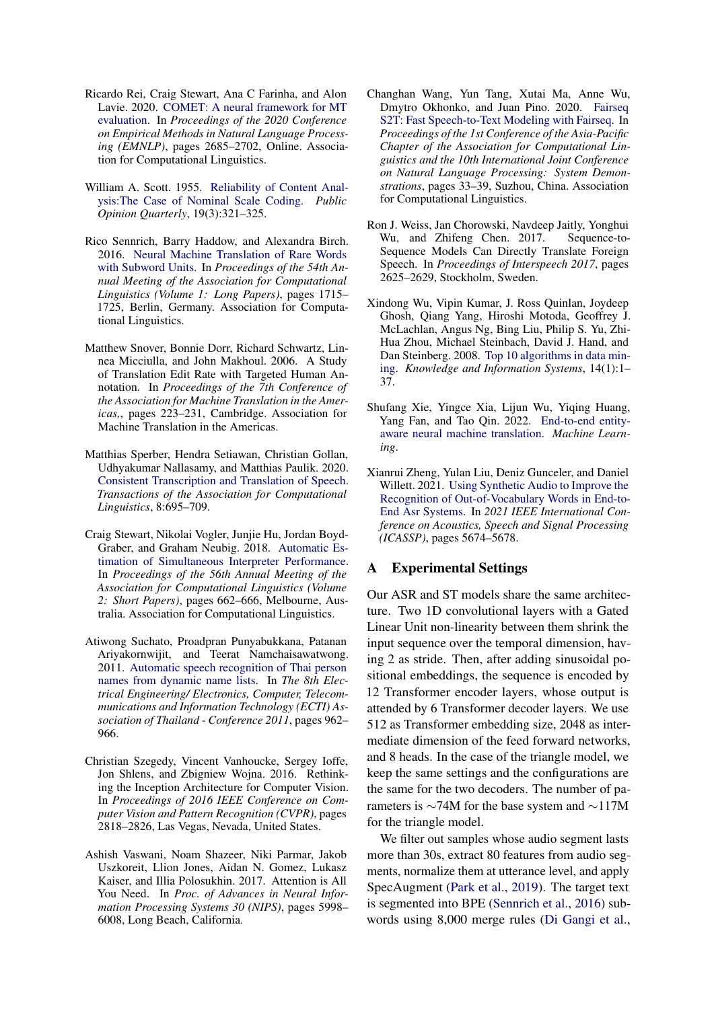- <span id="page-10-2"></span>Ricardo Rei, Craig Stewart, Ana C Farinha, and Alon Lavie. 2020. [COMET: A neural framework for MT](https://doi.org/10.18653/v1/2020.emnlp-main.213) [evaluation.](https://doi.org/10.18653/v1/2020.emnlp-main.213) In *Proceedings of the 2020 Conference on Empirical Methods in Natural Language Processing (EMNLP)*, pages 2685–2702, Online. Association for Computational Linguistics.
- <span id="page-10-11"></span>William A. Scott. 1955. [Reliability of Content Anal](https://doi.org/10.1086/266577)[ysis:The Case of Nominal Scale Coding.](https://doi.org/10.1086/266577) *Public Opinion Quarterly*, 19(3):321–325.
- <span id="page-10-12"></span>Rico Sennrich, Barry Haddow, and Alexandra Birch. 2016. [Neural Machine Translation of Rare Words](https://doi.org/10.18653/v1/P16-1162) [with Subword Units.](https://doi.org/10.18653/v1/P16-1162) In *Proceedings of the 54th Annual Meeting of the Association for Computational Linguistics (Volume 1: Long Papers)*, pages 1715– 1725, Berlin, Germany. Association for Computational Linguistics.
- <span id="page-10-1"></span>Matthew Snover, Bonnie Dorr, Richard Schwartz, Linnea Micciulla, and John Makhoul. 2006. A Study of Translation Edit Rate with Targeted Human Annotation. In *Proceedings of the 7th Conference of the Association for Machine Translation in the Americas,*, pages 223–231, Cambridge. Association for Machine Translation in the Americas.
- <span id="page-10-10"></span>Matthias Sperber, Hendra Setiawan, Christian Gollan, Udhyakumar Nallasamy, and Matthias Paulik. 2020. [Consistent Transcription and Translation of Speech.](https://doi.org/10.1162/tacl_a_00340) *Transactions of the Association for Computational Linguistics*, 8:695–709.
- <span id="page-10-4"></span>Craig Stewart, Nikolai Vogler, Junjie Hu, Jordan Boyd-Graber, and Graham Neubig. 2018. [Automatic Es](https://doi.org/10.18653/v1/P18-2105)[timation of Simultaneous Interpreter Performance.](https://doi.org/10.18653/v1/P18-2105) In *Proceedings of the 56th Annual Meeting of the Association for Computational Linguistics (Volume 2: Short Papers)*, pages 662–666, Melbourne, Australia. Association for Computational Linguistics.
- <span id="page-10-5"></span>Atiwong Suchato, Proadpran Punyabukkana, Patanan Ariyakornwijit, and Teerat Namchaisawatwong. 2011. [Automatic speech recognition of Thai person](https://doi.org/10.1109/ECTICON.2011.5948002) [names from dynamic name lists.](https://doi.org/10.1109/ECTICON.2011.5948002) In *The 8th Electrical Engineering/ Electronics, Computer, Telecommunications and Information Technology (ECTI) Association of Thailand - Conference 2011*, pages 962– 966.
- <span id="page-10-13"></span>Christian Szegedy, Vincent Vanhoucke, Sergey Ioffe, Jon Shlens, and Zbigniew Wojna. 2016. Rethinking the Inception Architecture for Computer Vision. In *Proceedings of 2016 IEEE Conference on Computer Vision and Pattern Recognition (CVPR)*, pages 2818–2826, Las Vegas, Nevada, United States.
- <span id="page-10-6"></span>Ashish Vaswani, Noam Shazeer, Niki Parmar, Jakob Uszkoreit, Llion Jones, Aidan N. Gomez, Lukasz Kaiser, and Illia Polosukhin. 2017. Attention is All You Need. In *Proc. of Advances in Neural Information Processing Systems 30 (NIPS)*, pages 5998– 6008, Long Beach, California.
- <span id="page-10-7"></span>Changhan Wang, Yun Tang, Xutai Ma, Anne Wu, Dmytro Okhonko, and Juan Pino. 2020. [Fairseq](https://www.aclweb.org/anthology/2020.aacl-demo.6) [S2T: Fast Speech-to-Text Modeling with Fairseq.](https://www.aclweb.org/anthology/2020.aacl-demo.6) In *Proceedings of the 1st Conference of the Asia-Pacific Chapter of the Association for Computational Linguistics and the 10th International Joint Conference on Natural Language Processing: System Demonstrations*, pages 33–39, Suzhou, China. Association for Computational Linguistics.
- <span id="page-10-0"></span>Ron J. Weiss, Jan Chorowski, Navdeep Jaitly, Yonghui Wu, and Zhifeng Chen. 2017. Sequence-to-Sequence Models Can Directly Translate Foreign Speech. In *Proceedings of Interspeech 2017*, pages 2625–2629, Stockholm, Sweden.
- <span id="page-10-8"></span>Xindong Wu, Vipin Kumar, J. Ross Quinlan, Joydeep Ghosh, Qiang Yang, Hiroshi Motoda, Geoffrey J. McLachlan, Angus Ng, Bing Liu, Philip S. Yu, Zhi-Hua Zhou, Michael Steinbach, David J. Hand, and Dan Steinberg. 2008. [Top 10 algorithms in data min](https://doi.org/10.1007/s10115-007-0114-2)[ing.](https://doi.org/10.1007/s10115-007-0114-2) *Knowledge and Information Systems*, 14(1):1– 37.
- <span id="page-10-3"></span>Shufang Xie, Yingce Xia, Lijun Wu, Yiqing Huang, Yang Fan, and Tao Qin. 2022. [End-to-end entity](https://doi.org/10.1007/s10994-021-06073-9)[aware neural machine translation.](https://doi.org/10.1007/s10994-021-06073-9) *Machine Learning*.
- <span id="page-10-9"></span>Xianrui Zheng, Yulan Liu, Deniz Gunceler, and Daniel Willett. 2021. [Using Synthetic Audio to Improve the](https://doi.org/10.1109/ICASSP39728.2021.9414778) [Recognition of Out-of-Vocabulary Words in End-to-](https://doi.org/10.1109/ICASSP39728.2021.9414778)[End Asr Systems.](https://doi.org/10.1109/ICASSP39728.2021.9414778) In *2021 IEEE International Conference on Acoustics, Speech and Signal Processing (ICASSP)*, pages 5674–5678.

### A Experimental Settings

Our ASR and ST models share the same architecture. Two 1D convolutional layers with a Gated Linear Unit non-linearity between them shrink the input sequence over the temporal dimension, having 2 as stride. Then, after adding sinusoidal positional embeddings, the sequence is encoded by 12 Transformer encoder layers, whose output is attended by 6 Transformer decoder layers. We use 512 as Transformer embedding size, 2048 as intermediate dimension of the feed forward networks, and 8 heads. In the case of the triangle model, we keep the same settings and the configurations are the same for the two decoders. The number of parameters is ∼74M for the base system and ∼117M for the triangle model.

We filter out samples whose audio segment lasts more than 30s, extract 80 features from audio segments, normalize them at utterance level, and apply SpecAugment [\(Park et al.,](#page-9-19) [2019\)](#page-9-19). The target text is segmented into BPE [\(Sennrich et al.,](#page-10-12) [2016\)](#page-10-12) subwords using 8,000 merge rules [\(Di Gangi et al.,](#page-8-15)